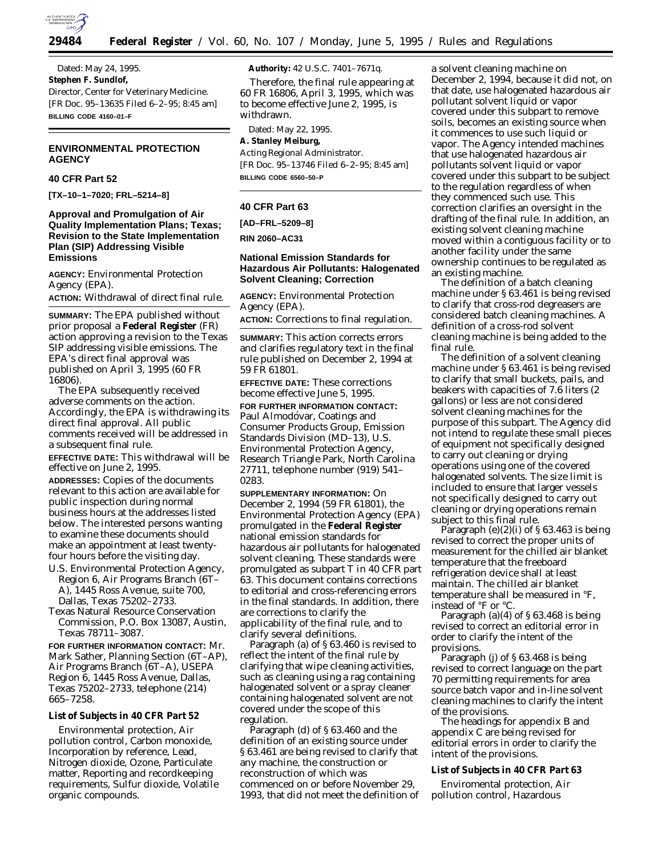

Dated: May 24, 1995. **Stephen F. Sundlof,** *Director, Center for Veterinary Medicine.* [FR Doc. 95–13635 Filed 6–2–95; 8:45 am] **BILLING CODE 4160–01–F**

# **ENVIRONMENTAL PROTECTION AGENCY**

### **40 CFR Part 52**

**[TX–10–1–7020; FRL–5214–8]**

# **Approval and Promulgation of Air Quality Implementation Plans; Texas; Revision to the State Implementation Plan (SIP) Addressing Visible Emissions**

**AGENCY:** Environmental Protection Agency (EPA). **ACTION:** Withdrawal of direct final rule.

**SUMMARY:** The EPA published without prior proposal a **Federal Register** (FR) action approving a revision to the Texas SIP addressing visible emissions. The EPA's direct final approval was published on April 3, 1995 (60 FR 16806).

The EPA subsequently received adverse comments on the action. Accordingly, the EPA is withdrawing its direct final approval. All public comments received will be addressed in a subsequent final rule.

**EFFECTIVE DATE:** This withdrawal will be effective on June 2, 1995.

**ADDRESSES:** Copies of the documents relevant to this action are available for public inspection during normal business hours at the addresses listed below. The interested persons wanting to examine these documents should make an appointment at least twentyfour hours before the visiting day.

U.S. Environmental Protection Agency, Region 6, Air Programs Branch (6T– A), 1445 Ross Avenue, suite 700, Dallas, Texas 75202–2733.

Texas Natural Resource Conservation Commission, P.O. Box 13087, Austin, Texas 78711–3087.

**FOR FURTHER INFORMATION CONTACT:** Mr. Mark Sather, Planning Section (6T–AP), Air Programs Branch (6T–A), USEPA Region 6, 1445 Ross Avenue, Dallas, Texas 75202–2733, telephone (214) 665–7258.

### **List of Subjects in 40 CFR Part 52**

Environmental protection, Air pollution control, Carbon monoxide, Incorporation by reference, Lead, Nitrogen dioxide, Ozone, Particulate matter, Reporting and recordkeeping requirements, Sulfur dioxide, Volatile organic compounds.

**Authority:** 42 U.S.C. 7401–7671q.

Therefore, the final rule appearing at 60 FR 16806, April 3, 1995, which was to become effective June 2, 1995, is withdrawn.

Dated: May 22, 1995.

**A. Stanley Meiburg,** *Acting Regional Administrator.* [FR Doc. 95–13746 Filed 6–2–95; 8:45 am] **BILLING CODE 6560–50–P**

### **40 CFR Part 63**

#### **[AD–FRL–5209–8]**

**RIN 2060–AC31**

# **National Emission Standards for Hazardous Air Pollutants: Halogenated Solvent Cleaning; Correction**

**AGENCY:** Environmental Protection Agency (EPA).

**ACTION:** Corrections to final regulation.

**SUMMARY:** This action corrects errors and clarifies regulatory text in the final rule published on December 2, 1994 at 59 FR 61801.

**EFFECTIVE DATE:** These corrections become effective June 5, 1995.

**FOR FURTHER INFORMATION CONTACT:** Paul Almodóvar, Coatings and Consumer Products Group, Emission Standards Division (MD–13), U.S. Environmental Protection Agency, Research Triangle Park, North Carolina 27711, telephone number (919) 541– 0283.

**SUPPLEMENTARY INFORMATION:** On December 2, 1994 (59 FR 61801), the Environmental Protection Agency (EPA) promulgated in the **Federal Register** national emission standards for hazardous air pollutants for halogenated solvent cleaning. These standards were promulgated as subpart T in 40 CFR part 63. This document contains corrections to editorial and cross-referencing errors in the final standards. In addition, there are corrections to clarify the applicability of the final rule, and to clarify several definitions.

Paragraph (a) of § 63.460 is revised to reflect the intent of the final rule by clarifying that wipe cleaning activities, such as cleaning using a rag containing halogenated solvent or a spray cleaner containing halogenated solvent are not covered under the scope of this regulation.

Paragraph (d) of § 63.460 and the definition of an existing source under § 63.461 are being revised to clarify that any machine, the construction or reconstruction of which was commenced on or before November 29, 1993, that did not meet the definition of a solvent cleaning machine on December 2, 1994, because it did not, on that date, use halogenated hazardous air pollutant solvent liquid or vapor covered under this subpart to remove soils, becomes an existing source when it commences to use such liquid or vapor. The Agency intended machines that use halogenated hazardous air pollutants solvent liquid or vapor covered under this subpart to be subject to the regulation regardless of when they commenced such use. This correction clarifies an oversight in the drafting of the final rule. In addition, an existing solvent cleaning machine moved within a contiguous facility or to another facility under the same ownership continues to be regulated as an existing machine.

The definition of a batch cleaning machine under § 63.461 is being revised to clarify that cross-rod degreasers are considered batch cleaning machines. A definition of a cross-rod solvent cleaning machine is being added to the final rule.

The definition of a solvent cleaning machine under § 63.461 is being revised to clarify that small buckets, pails, and beakers with capacities of 7.6 liters (2 gallons) or less are not considered solvent cleaning machines for the purpose of this subpart. The Agency did not intend to regulate these small pieces of equipment not specifically designed to carry out cleaning or drying operations using one of the covered halogenated solvents. The size limit is included to ensure that larger vessels not specifically designed to carry out cleaning or drying operations remain subject to this final rule.

Paragraph  $(e)(2)(i)$  of § 63.463 is being revised to correct the proper units of measurement for the chilled air blanket temperature that the freeboard refrigeration device shall at least maintain. The chilled air blanket temperature shall be measured in °F, instead of °F or °C.

Paragraph (a) $(4)$  of § 63.468 is being revised to correct an editorial error in order to clarify the intent of the provisions.

Paragraph (j) of § 63.468 is being revised to correct language on the part 70 permitting requirements for area source batch vapor and in-line solvent cleaning machines to clarify the intent of the provisions.

The headings for appendix B and appendix C are being revised for editorial errors in order to clarify the intent of the provisions.

## **List of Subjects in 40 CFR Part 63**

Enviromental protection, Air pollution control, Hazardous